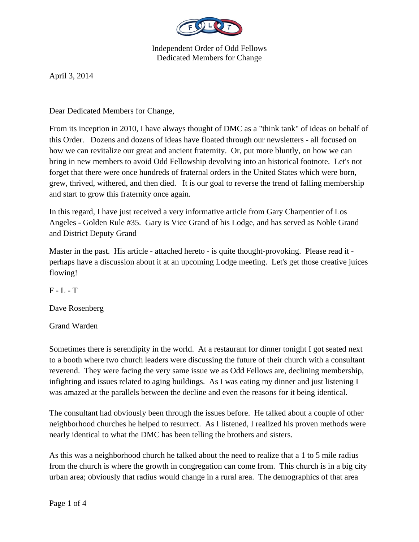

April 3, 2014

Dear Dedicated Members for Change,

From its inception in 2010, I have always thought of DMC as a "think tank" of ideas on behalf of this Order. Dozens and dozens of ideas have floated through our newsletters - all focused on how we can revitalize our great and ancient fraternity. Or, put more bluntly, on how we can bring in new members to avoid Odd Fellowship devolving into an historical footnote. Let's not forget that there were once hundreds of fraternal orders in the United States which were born, grew, thrived, withered, and then died. It is our goal to reverse the trend of falling membership and start to grow this fraternity once again.

In this regard, I have just received a very informative article from Gary Charpentier of Los Angeles - Golden Rule #35. Gary is Vice Grand of his Lodge, and has served as Noble Grand and District Deputy Grand

Master in the past. His article - attached hereto - is quite thought-provoking. Please read it perhaps have a discussion about it at an upcoming Lodge meeting. Let's get those creative juices flowing!

 $F - L - T$ 

Dave Rosenberg

Grand Warden

Sometimes there is serendipity in the world. At a restaurant for dinner tonight I got seated next to a booth where two church leaders were discussing the future of their church with a consultant reverend. They were facing the very same issue we as Odd Fellows are, declining membership, infighting and issues related to aging buildings. As I was eating my dinner and just listening I was amazed at the parallels between the decline and even the reasons for it being identical.

The consultant had obviously been through the issues before. He talked about a couple of other neighborhood churches he helped to resurrect. As I listened, I realized his proven methods were nearly identical to what the DMC has been telling the brothers and sisters.

As this was a neighborhood church he talked about the need to realize that a 1 to 5 mile radius from the church is where the growth in congregation can come from. This church is in a big city urban area; obviously that radius would change in a rural area. The demographics of that area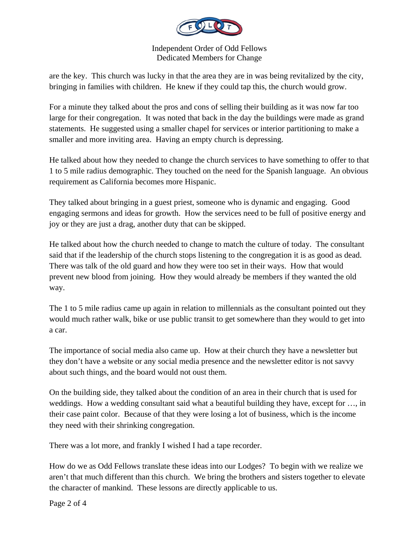

are the key. This church was lucky in that the area they are in was being revitalized by the city, bringing in families with children. He knew if they could tap this, the church would grow.

For a minute they talked about the pros and cons of selling their building as it was now far too large for their congregation. It was noted that back in the day the buildings were made as grand statements. He suggested using a smaller chapel for services or interior partitioning to make a smaller and more inviting area. Having an empty church is depressing.

He talked about how they needed to change the church services to have something to offer to that 1 to 5 mile radius demographic. They touched on the need for the Spanish language. An obvious requirement as California becomes more Hispanic.

They talked about bringing in a guest priest, someone who is dynamic and engaging. Good engaging sermons and ideas for growth. How the services need to be full of positive energy and joy or they are just a drag, another duty that can be skipped.

He talked about how the church needed to change to match the culture of today. The consultant said that if the leadership of the church stops listening to the congregation it is as good as dead. There was talk of the old guard and how they were too set in their ways. How that would prevent new blood from joining. How they would already be members if they wanted the old way.

The 1 to 5 mile radius came up again in relation to millennials as the consultant pointed out they would much rather walk, bike or use public transit to get somewhere than they would to get into a car.

The importance of social media also came up. How at their church they have a newsletter but they don't have a website or any social media presence and the newsletter editor is not savvy about such things, and the board would not oust them.

On the building side, they talked about the condition of an area in their church that is used for weddings. How a wedding consultant said what a beautiful building they have, except for …, in their case paint color. Because of that they were losing a lot of business, which is the income they need with their shrinking congregation.

There was a lot more, and frankly I wished I had a tape recorder.

How do we as Odd Fellows translate these ideas into our Lodges? To begin with we realize we aren't that much different than this church. We bring the brothers and sisters together to elevate the character of mankind. These lessons are directly applicable to us.

Page 2 of 4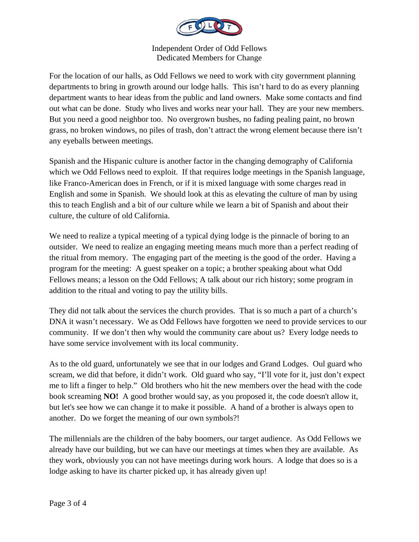

For the location of our halls, as Odd Fellows we need to work with city government planning departments to bring in growth around our lodge halls. This isn't hard to do as every planning department wants to hear ideas from the public and land owners. Make some contacts and find out what can be done. Study who lives and works near your hall. They are your new members. But you need a good neighbor too. No overgrown bushes, no fading pealing paint, no brown grass, no broken windows, no piles of trash, don't attract the wrong element because there isn't any eyeballs between meetings.

Spanish and the Hispanic culture is another factor in the changing demography of California which we Odd Fellows need to exploit. If that requires lodge meetings in the Spanish language, like Franco-American does in French, or if it is mixed language with some charges read in English and some in Spanish. We should look at this as elevating the culture of man by using this to teach English and a bit of our culture while we learn a bit of Spanish and about their culture, the culture of old California.

We need to realize a typical meeting of a typical dying lodge is the pinnacle of boring to an outsider. We need to realize an engaging meeting means much more than a perfect reading of the ritual from memory. The engaging part of the meeting is the good of the order. Having a program for the meeting: A guest speaker on a topic; a brother speaking about what Odd Fellows means; a lesson on the Odd Fellows; A talk about our rich history; some program in addition to the ritual and voting to pay the utility bills.

They did not talk about the services the church provides. That is so much a part of a church's DNA it wasn't necessary. We as Odd Fellows have forgotten we need to provide services to our community. If we don't then why would the community care about us? Every lodge needs to have some service involvement with its local community.

As to the old guard, unfortunately we see that in our lodges and Grand Lodges. Oul guard who scream, we did that before, it didn't work. Old guard who say, "I'll vote for it, just don't expect me to lift a finger to help." Old brothers who hit the new members over the head with the code book screaming **NO!** A good brother would say, as you proposed it, the code doesn't allow it, but let's see how we can change it to make it possible. A hand of a brother is always open to another. Do we forget the meaning of our own symbols?!

The millennials are the children of the baby boomers, our target audience. As Odd Fellows we already have our building, but we can have our meetings at times when they are available. As they work, obviously you can not have meetings during work hours. A lodge that does so is a lodge asking to have its charter picked up, it has already given up!